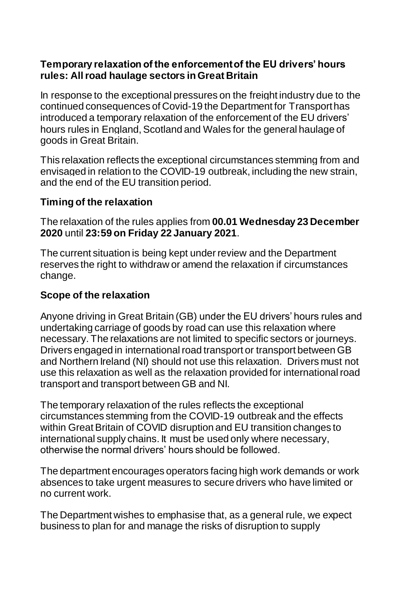#### **Temporary relaxation of the enforcement of the EU drivers' hours rules: All road haulage sectors in Great Britain**

In response to the exceptional pressures on the freight industry due to the continued consequences of Covid-19 the Department for Transporthas introduced a temporary relaxation of the enforcement of the EU drivers' hours rules in England, Scotland and Wales for the general haulage of goods in Great Britain.

This relaxation reflects the exceptional circumstances stemming from and envisaged in relation to the COVID-19 outbreak, including the new strain, and the end of the EU transition period.

## **Timing of the relaxation**

The relaxation of the rules applies from **00.01 Wednesday 23 December 2020** until **23:59 on Friday 22 January 2021**.

The current situation is being kept under review and the Department reserves the right to withdraw or amend the relaxation if circumstances change.

### **Scope of the relaxation**

Anyone driving in Great Britain (GB) under the EU drivers' hours rules and undertaking carriage of goods by road can use this relaxation where necessary. The relaxations are not limited to specific sectors or journeys. Drivers engaged in international road transport or transport between GB and Northern Ireland (NI) should not use this relaxation. Drivers must not use this relaxation as well as the relaxation provided for international road transport and transport between GB and NI.

The temporary relaxation of the rules reflects the exceptional circumstances stemming from the COVID-19 outbreak and the effects within Great Britain of COVID disruption and EU transition changes to international supply chains. It must be used only where necessary, otherwise the normal drivers' hours should be followed.

The department encourages operators facing high work demands or work absences to take urgent measures to secure drivers who have limited or no current work.

The Department wishes to emphasise that, as a general rule, we expect business to plan for and manage the risks of disruption to supply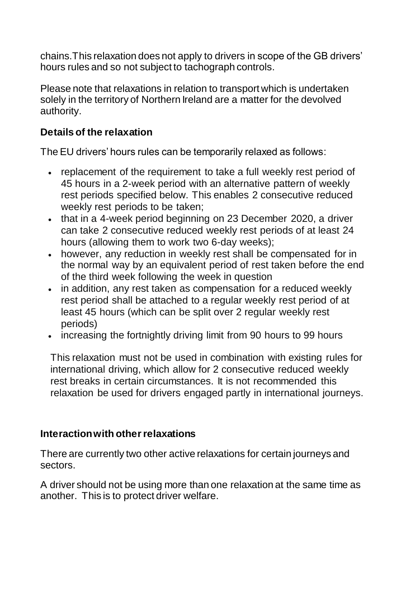chains.This relaxation does not apply to drivers in scope of the GB drivers' hours rules and so not subject to tachograph controls.

Please note that relaxations in relation to transport which is undertaken solely in the territory of Northern Ireland are a matter for the devolved authority.

# **Details of the relaxation**

The EU drivers' hours rules can be temporarily relaxed as follows:

- replacement of the requirement to take a full weekly rest period of 45 hours in a 2-week period with an alternative pattern of weekly rest periods specified below. This enables 2 consecutive reduced weekly rest periods to be taken;
- that in a 4-week period beginning on 23 December 2020, a driver can take 2 consecutive reduced weekly rest periods of at least 24 hours (allowing them to work two 6-day weeks);
- however, any reduction in weekly rest shall be compensated for in the normal way by an equivalent period of rest taken before the end of the third week following the week in question
- in addition, any rest taken as compensation for a reduced weekly rest period shall be attached to a regular weekly rest period of at least 45 hours (which can be split over 2 regular weekly rest periods)
- increasing the fortnightly driving limit from 90 hours to 99 hours

This relaxation must not be used in combination with existing rules for international driving, which allow for 2 consecutive reduced weekly rest breaks in certain circumstances. It is not recommended this relaxation be used for drivers engaged partly in international journeys.

### **Interaction with other relaxations**

There are currently two other active relaxations for certain journeys and sectors.

A driver should not be using more than one relaxation at the same time as another. This is to protect driver welfare.